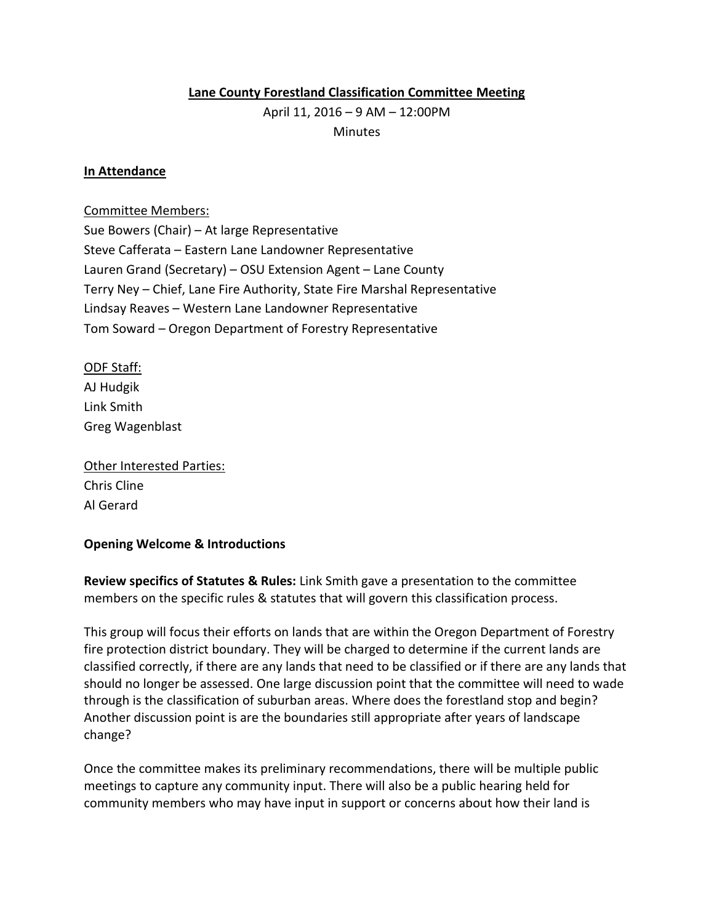# **Lane County Forestland Classification Committee Meeting**

April 11, 2016 – 9 AM – 12:00PM **Minutes** 

### **In Attendance**

### Committee Members:

Sue Bowers (Chair) – At large Representative Steve Cafferata – Eastern Lane Landowner Representative Lauren Grand (Secretary) – OSU Extension Agent – Lane County Terry Ney – Chief, Lane Fire Authority, State Fire Marshal Representative Lindsay Reaves – Western Lane Landowner Representative Tom Soward – Oregon Department of Forestry Representative

ODF Staff: AJ Hudgik Link Smith Greg Wagenblast

Other Interested Parties: Chris Cline Al Gerard

## **Opening Welcome & Introductions**

**Review specifics of Statutes & Rules:** Link Smith gave a presentation to the committee members on the specific rules & statutes that will govern this classification process.

This group will focus their efforts on lands that are within the Oregon Department of Forestry fire protection district boundary. They will be charged to determine if the current lands are classified correctly, if there are any lands that need to be classified or if there are any lands that should no longer be assessed. One large discussion point that the committee will need to wade through is the classification of suburban areas. Where does the forestland stop and begin? Another discussion point is are the boundaries still appropriate after years of landscape change?

Once the committee makes its preliminary recommendations, there will be multiple public meetings to capture any community input. There will also be a public hearing held for community members who may have input in support or concerns about how their land is